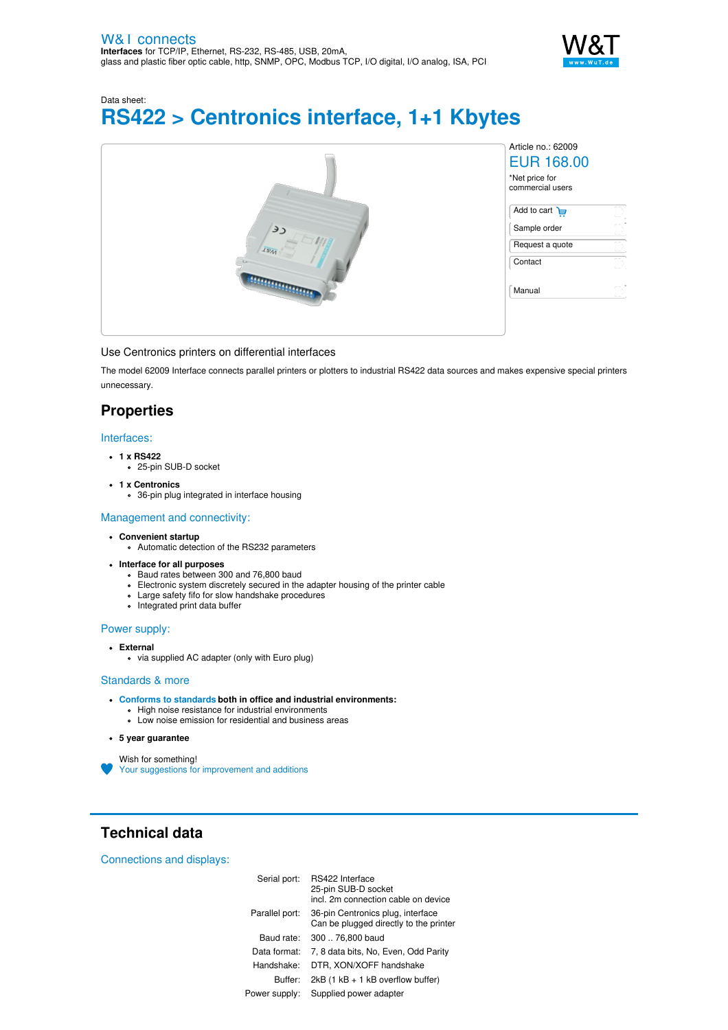

Data sheet:

# **RS422 > Centronics interface, 1+1 Kbytes**

|          | Article no.: 62009<br><b>EUR 168.00</b><br>*Net price for<br>commercial users |
|----------|-------------------------------------------------------------------------------|
| رد       | Add to cart $\overline{H}$<br>D<br>en,"<br>Sample order<br>LΥ                 |
| $L_{NA}$ | D<br>Request a quote<br>ch,<br>Contact<br>εV                                  |
|          | D)<br>Manual                                                                  |

#### Use Centronics printers on differential interfaces

The model 62009 Interface connects parallel printers or plotters to industrial RS422 data sources and makes expensive special printers unnecessary.

# **Properties**

### Interfaces:

- **1 x RS422**
- 25-pin SUB-D socket
- **1 x Centronics**
	- 36-pin plug integrated in interface housing

#### Management and connectivity:

- **Convenient startup**
	- Automatic detection of the RS232 parameters
- **Interface for all purposes**
	- Baud rates between 300 and 76,800 baud
	- Electronic system discretely secured in the adapter housing of the printer cable
	- Large safety fifo for slow handshake procedures
	- Integrated print data buffer

## Power supply:

- **External**
	- via supplied AC adapter (only with Euro plug)

#### Standards & more

- **Conforms to [standards](https://www.wut.de/download/ce/e-62009-10-rdus-000.pdf) both in office and industrial environments:**
	- High noise resistance for industrial environments
	- Low noise emission for residential and business areas
- **5 year guarantee**
- Wish for something!
- Your suggestions for [improvement](https://www.wut.de/e-wwwww-ws-orus-000.php?ArticleNr=62009) and additions

# **Technical data**

Connections and displays:

| Serial port:   | RS422 Interface<br>25-pin SUB-D socket<br>incl. 2m connection cable on device |
|----------------|-------------------------------------------------------------------------------|
| Parallel port: | 36-pin Centronics plug, interface<br>Can be plugged directly to the printer   |
| Baud rate:     | 300  76.800 baud                                                              |
| Data format:   | 7, 8 data bits, No, Even, Odd Parity                                          |
| Handshake:     | DTR. XON/XOFF handshake                                                       |
| Buffer:        | $2kB$ (1 kB $+$ 1 kB overflow buffer)                                         |
| Power supply:  | Supplied power adapter                                                        |